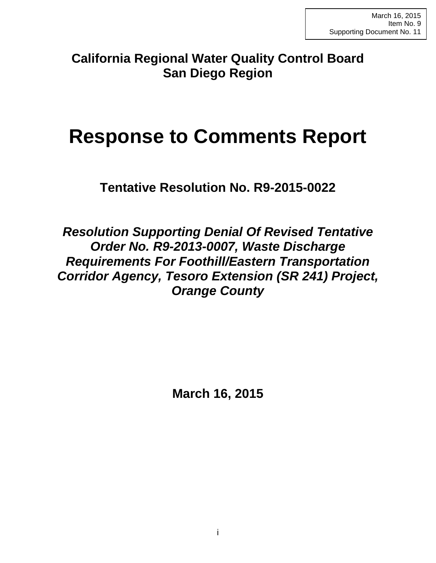**California Regional Water Quality Control Board San Diego Region**

# **Response to Comments Report**

**Tentative Resolution No. R9-2015-0022**

*Resolution Supporting Denial Of Revised Tentative Order No. R9-2013-0007, Waste Discharge Requirements For Foothill/Eastern Transportation Corridor Agency, Tesoro Extension (SR 241) Project, Orange County*

**March 16, 2015**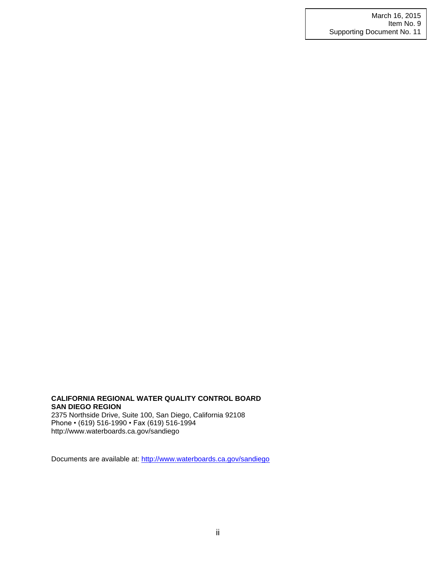#### **CALIFORNIA REGIONAL WATER QUALITY CONTROL BOARD SAN DIEGO REGION** 2375 Northside Drive, Suite 100, San Diego, California 92108

Phone • (619) 516-1990 • Fax (619) 516-1994 http://www.waterboards.ca.gov/sandiego

Documents are available at:<http://www.waterboards.ca.gov/sandiego>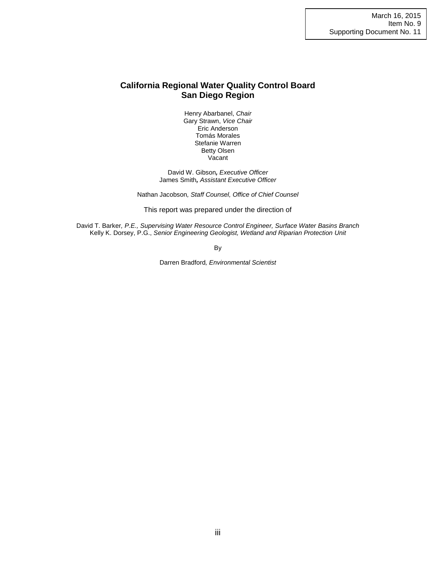## **California Regional Water Quality Control Board San Diego Region**

Henry Abarbanel, *Chair* Gary Strawn, *Vice Chair* Eric Anderson Tomás Morales Stefanie Warren Betty Olsen Vacant

David W. Gibson*, Executive Officer* James Smith*, Assistant Executive Officer*

Nathan Jacobson*, Staff Counsel, Office of Chief Counsel*

This report was prepared under the direction of

David T. Barker*, P.E., Supervising Water Resource Control Engineer, Surface Water Basins Branch* Kelly K. Dorsey, P.G., *Senior Engineering Geologist, Wetland and Riparian Protection Unit*

By

Darren Bradford*, Environmental Scientist*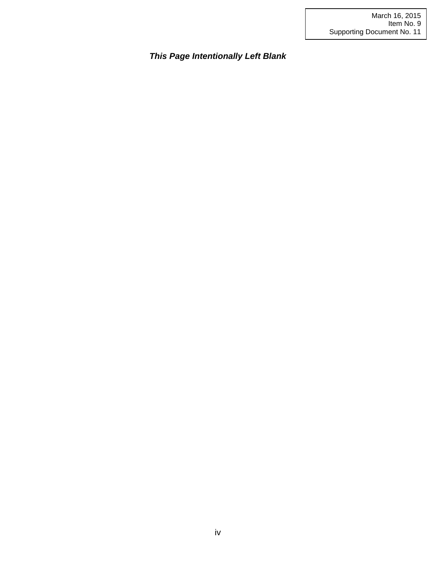*This Page Intentionally Left Blank*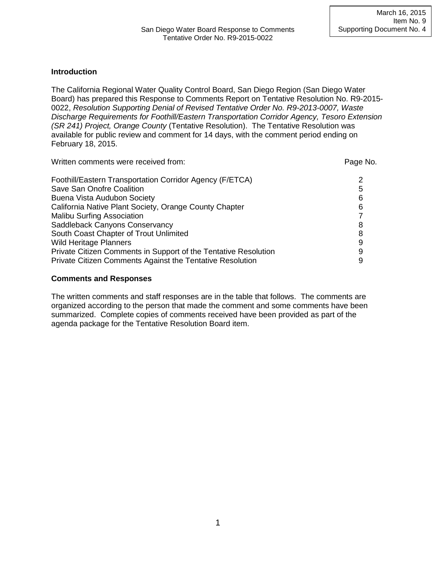## **Introduction**

The California Regional Water Quality Control Board, San Diego Region (San Diego Water Board) has prepared this Response to Comments Report on Tentative Resolution No. R9-2015- 0022, *Resolution Supporting Denial of Revised Tentative Order No. R9-2013-0007, Waste Discharge Requirements for Foothill/Eastern Transportation Corridor Agency, Tesoro Extension (SR 241) Project, Orange County* (Tentative Resolution). The Tentative Resolution was available for public review and comment for 14 days, with the comment period ending on February 18, 2015.

| Page No. |
|----------|
| 2        |
| 5        |
| 6        |
| 6        |
|          |
| 8        |
| 8        |
| 9        |
| 9        |
| 9        |
|          |

### **Comments and Responses**

The written comments and staff responses are in the table that follows. The comments are organized according to the person that made the comment and some comments have been summarized. Complete copies of comments received have been provided as part of the agenda package for the Tentative Resolution Board item.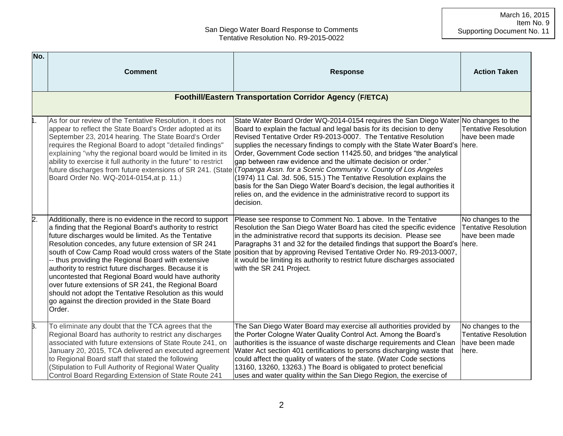| No. |                                                                                                                                                                                                                                                                                                                                                                                                                                                                                                                                                                                                                                                                 |                                                                                                                                                                                                                                                                                                                                                                                                                                                                                                                                                                                                                                                                                                                                                                                                                                 |                                                                              |
|-----|-----------------------------------------------------------------------------------------------------------------------------------------------------------------------------------------------------------------------------------------------------------------------------------------------------------------------------------------------------------------------------------------------------------------------------------------------------------------------------------------------------------------------------------------------------------------------------------------------------------------------------------------------------------------|---------------------------------------------------------------------------------------------------------------------------------------------------------------------------------------------------------------------------------------------------------------------------------------------------------------------------------------------------------------------------------------------------------------------------------------------------------------------------------------------------------------------------------------------------------------------------------------------------------------------------------------------------------------------------------------------------------------------------------------------------------------------------------------------------------------------------------|------------------------------------------------------------------------------|
|     | <b>Comment</b>                                                                                                                                                                                                                                                                                                                                                                                                                                                                                                                                                                                                                                                  | <b>Response</b>                                                                                                                                                                                                                                                                                                                                                                                                                                                                                                                                                                                                                                                                                                                                                                                                                 | <b>Action Taken</b>                                                          |
|     |                                                                                                                                                                                                                                                                                                                                                                                                                                                                                                                                                                                                                                                                 | <b>Foothill/Eastern Transportation Corridor Agency (F/ETCA)</b>                                                                                                                                                                                                                                                                                                                                                                                                                                                                                                                                                                                                                                                                                                                                                                 |                                                                              |
|     | As for our review of the Tentative Resolution, it does not<br>appear to reflect the State Board's Order adopted at its<br>September 23, 2014 hearing. The State Board's Order<br>requires the Regional Board to adopt "detailed findings"<br>explaining "why the regional board would be limited in its<br>ability to exercise it full authority in the future" to restrict<br>Board Order No. WQ-2014-0154, at p. 11.)                                                                                                                                                                                                                                         | State Water Board Order WQ-2014-0154 requires the San Diego Water No changes to the<br>Board to explain the factual and legal basis for its decision to deny<br>Revised Tentative Order R9-2013-0007. The Tentative Resolution<br>supplies the necessary findings to comply with the State Water Board's here.<br>Order, Government Code section 11425.50, and bridges "the analytical<br>gap between raw evidence and the ultimate decision or order."<br>future discharges from future extensions of SR 241. (State)(Topanga Assn. for a Scenic Community v. County of Los Angeles<br>(1974) 11 Cal. 3d. 506, 515.) The Tentative Resolution explains the<br>basis for the San Diego Water Board's decision, the legal authorities it<br>relies on, and the evidence in the administrative record to support its<br>decision. | <b>Tentative Resolution</b><br>have been made                                |
| 2.  | Additionally, there is no evidence in the record to support<br>a finding that the Regional Board's authority to restrict<br>future discharges would be limited. As the Tentative<br>Resolution concedes, any future extension of SR 241<br>south of Cow Camp Road would cross waters of the State<br>-- thus providing the Regional Board with extensive<br>authority to restrict future discharges. Because it is<br>uncontested that Regional Board would have authority<br>over future extensions of SR 241, the Regional Board<br>should not adopt the Tentative Resolution as this would<br>go against the direction provided in the State Board<br>Order. | Please see response to Comment No. 1 above. In the Tentative<br>Resolution the San Diego Water Board has cited the specific evidence<br>in the administrative record that supports its decision. Please see<br>Paragraphs 31 and 32 for the detailed findings that support the Board's here.<br>position that by approving Revised Tentative Order No. R9-2013-0007,<br>it would be limiting its authority to restrict future discharges associated<br>with the SR 241 Project.                                                                                                                                                                                                                                                                                                                                                 | No changes to the<br><b>Tentative Resolution</b><br>have been made           |
| β.  | To eliminate any doubt that the TCA agrees that the<br>Regional Board has authority to restrict any discharges<br>associated with future extensions of State Route 241, on<br>January 20, 2015, TCA delivered an executed agreement<br>to Regional Board staff that stated the following<br>(Stipulation to Full Authority of Regional Water Quality<br>Control Board Regarding Extension of State Route 241                                                                                                                                                                                                                                                    | The San Diego Water Board may exercise all authorities provided by<br>the Porter Cologne Water Quality Control Act. Among the Board's<br>authorities is the issuance of waste discharge requirements and Clean<br>Water Act section 401 certifications to persons discharging waste that<br>could affect the quality of waters of the state. (Water Code sections<br>13160, 13260, 13263.) The Board is obligated to protect beneficial<br>uses and water quality within the San Diego Region, the exercise of                                                                                                                                                                                                                                                                                                                  | No changes to the<br><b>Tentative Resolution</b><br>Ihave been made<br>here. |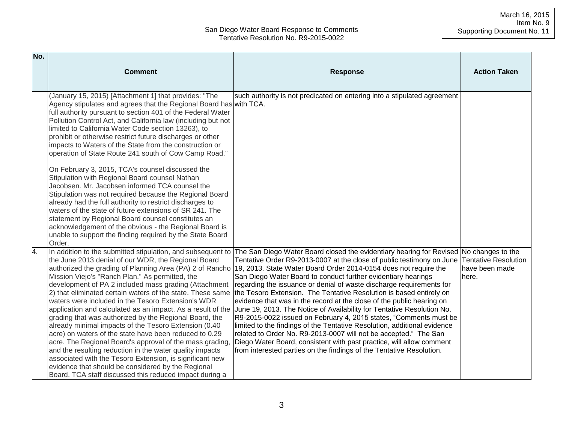| No. | <b>Comment</b>                                                                                                                                                                                                                                                                                                                                                                                                                                                                                                                                                                                                                                                                                                                                                                                                                                                                                                                                                                                                                       | <b>Response</b>                                                                                                                                                                                                                                                                                                                                                                                                                                                                                                                                                                                                                                                                                                                                                                                                                                                                                                                                                                                                                                                                                                                                               | <b>Action Taken</b>                                    |
|-----|--------------------------------------------------------------------------------------------------------------------------------------------------------------------------------------------------------------------------------------------------------------------------------------------------------------------------------------------------------------------------------------------------------------------------------------------------------------------------------------------------------------------------------------------------------------------------------------------------------------------------------------------------------------------------------------------------------------------------------------------------------------------------------------------------------------------------------------------------------------------------------------------------------------------------------------------------------------------------------------------------------------------------------------|---------------------------------------------------------------------------------------------------------------------------------------------------------------------------------------------------------------------------------------------------------------------------------------------------------------------------------------------------------------------------------------------------------------------------------------------------------------------------------------------------------------------------------------------------------------------------------------------------------------------------------------------------------------------------------------------------------------------------------------------------------------------------------------------------------------------------------------------------------------------------------------------------------------------------------------------------------------------------------------------------------------------------------------------------------------------------------------------------------------------------------------------------------------|--------------------------------------------------------|
|     | (January 15, 2015) [Attachment 1] that provides: "The<br>Agency stipulates and agrees that the Regional Board has with TCA.<br>full authority pursuant to section 401 of the Federal Water<br>Pollution Control Act, and California law (including but not<br>limited to California Water Code section 13263), to<br>prohibit or otherwise restrict future discharges or other<br>impacts to Waters of the State from the construction or<br>operation of State Route 241 south of Cow Camp Road."<br>On February 3, 2015, TCA's counsel discussed the<br>Stipulation with Regional Board counsel Nathan<br>Jacobsen. Mr. Jacobsen informed TCA counsel the<br>Stipulation was not required because the Regional Board<br>already had the full authority to restrict discharges to<br>waters of the state of future extensions of SR 241. The<br>statement by Regional Board counsel constitutes an<br>acknowledgement of the obvious - the Regional Board is<br>unable to support the finding required by the State Board<br>Order. | such authority is not predicated on entering into a stipulated agreement                                                                                                                                                                                                                                                                                                                                                                                                                                                                                                                                                                                                                                                                                                                                                                                                                                                                                                                                                                                                                                                                                      |                                                        |
| 4.  | the June 2013 denial of our WDR, the Regional Board<br>Mission Viejo's "Ranch Plan." As permitted, the<br>development of PA 2 included mass grading (Attachment<br>2) that eliminated certain waters of the state. These same<br>waters were included in the Tesoro Extension's WDR<br>grading that was authorized by the Regional Board, the<br>already minimal impacts of the Tesoro Extension (0.40<br>acre) on waters of the state have been reduced to 0.29<br>acre. The Regional Board's approval of the mass grading,<br>and the resulting reduction in the water quality impacts<br>associated with the Tesoro Extension, is significant new<br>evidence that should be considered by the Regional<br>Board. TCA staff discussed this reduced impact during a                                                                                                                                                                                                                                                                | In addition to the submitted stipulation, and subsequent to The San Diego Water Board closed the evidentiary hearing for Revised No changes to the<br>Tentative Order R9-2013-0007 at the close of public testimony on June<br>authorized the grading of Planning Area (PA) 2 of Rancho (19, 2013. State Water Board Order 2014-0154 does not require the<br>San Diego Water Board to conduct further evidentiary hearings<br>regarding the issuance or denial of waste discharge requirements for<br>the Tesoro Extension. The Tentative Resolution is based entirely on<br>evidence that was in the record at the close of the public hearing on<br>application and calculated as an impact. As a result of the June 19, 2013. The Notice of Availability for Tentative Resolution No.<br>R9-2015-0022 issued on February 4, 2015 states, "Comments must be<br>limited to the findings of the Tentative Resolution, additional evidence<br>related to Order No. R9-2013-0007 will not be accepted." The San<br>Diego Water Board, consistent with past practice, will allow comment<br>from interested parties on the findings of the Tentative Resolution. | <b>Tentative Resolution</b><br>have been made<br>here. |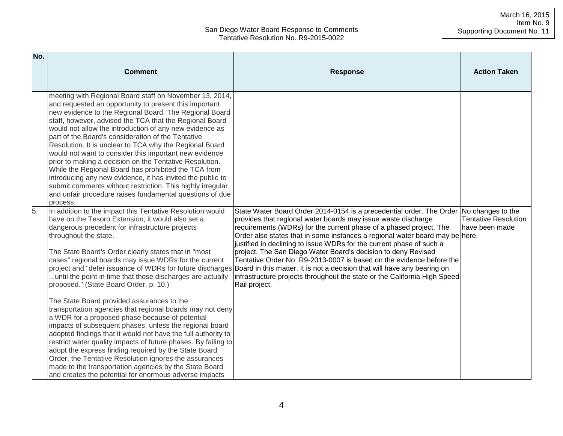| No. | <b>Comment</b>                                                                                                                                                                                                                                                                                                                                                                                                                                                                                                                                                                                                                                                                                                                                                                                                                                                                                                                                                                                                         | <b>Response</b>                                                                                                                                                                                                                                                                                                                                                                                                                                                                                                                                                                                                                                                                                                                                                    | <b>Action Taken</b>                           |
|-----|------------------------------------------------------------------------------------------------------------------------------------------------------------------------------------------------------------------------------------------------------------------------------------------------------------------------------------------------------------------------------------------------------------------------------------------------------------------------------------------------------------------------------------------------------------------------------------------------------------------------------------------------------------------------------------------------------------------------------------------------------------------------------------------------------------------------------------------------------------------------------------------------------------------------------------------------------------------------------------------------------------------------|--------------------------------------------------------------------------------------------------------------------------------------------------------------------------------------------------------------------------------------------------------------------------------------------------------------------------------------------------------------------------------------------------------------------------------------------------------------------------------------------------------------------------------------------------------------------------------------------------------------------------------------------------------------------------------------------------------------------------------------------------------------------|-----------------------------------------------|
|     | meeting with Regional Board staff on November 13, 2014,<br>and requested an opportunity to present this important<br>new evidence to the Regional Board. The Regional Board<br>staff, however, advised the TCA that the Regional Board<br>would not allow the introduction of any new evidence as<br>part of the Board's consideration of the Tentative<br>Resolution. It is unclear to TCA why the Regional Board<br>would not want to consider this important new evidence<br>prior to making a decision on the Tentative Resolution.<br>While the Regional Board has prohibited the TCA from<br>introducing any new evidence, it has invited the public to<br>submit comments without restriction. This highly irregular<br>and unfair procedure raises fundamental questions of due<br>process.                                                                                                                                                                                                                    |                                                                                                                                                                                                                                                                                                                                                                                                                                                                                                                                                                                                                                                                                                                                                                    |                                               |
|     | In addition to the impact this Tentative Resolution would<br>have on the Tesoro Extension, it would also set a<br>dangerous precedent for infrastructure projects<br>throughout the state.<br>The State Board's Order clearly states that in "most<br>cases" regional boards may issue WDRs for the current<br>until the point in time that those discharges are actually<br>proposed." (State Board Order, p. 10.)<br>The State Board provided assurances to the<br>transportation agencies that regional boards may not deny<br>a WDR for a proposed phase because of potential<br>impacts of subsequent phases, unless the regional board<br>adopted findings that it would not have the full authority to<br>restrict water quality impacts of future phases. By failing to<br>adopt the express finding required by the State Board<br>Order, the Tentative Resolution ignores the assurances<br>made to the transportation agencies by the State Board<br>and creates the potential for enormous adverse impacts | State Water Board Order 2014-0154 is a precedential order. The Order No changes to the<br>provides that regional water boards may issue waste discharge<br>requirements (WDRs) for the current phase of a phased project. The<br>Order also states that in some instances a regional water board may be here.<br>justified in declining to issue WDRs for the current phase of such a<br>project. The San Diego Water Board's decision to deny Revised<br>Tentative Order No. R9-2013-0007 is based on the evidence before the<br>project and "defer issuance of WDRs for future discharges Board in this matter. It is not a decision that will have any bearing on<br>infrastructure projects throughout the state or the California High Speed<br>Rail project. | <b>Tentative Resolution</b><br>have been made |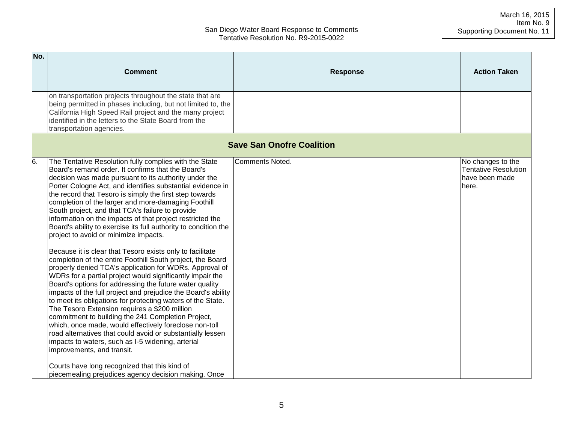| No. |                                                                                                                                                                                                                                                                                                                                                                                                                                                                                                                                                                                                                                                                                                                                                                                                                                                                                                                                                                                                                                                                                                                                                                                                                                                                                                                                                    |                                  |                                                                             |
|-----|----------------------------------------------------------------------------------------------------------------------------------------------------------------------------------------------------------------------------------------------------------------------------------------------------------------------------------------------------------------------------------------------------------------------------------------------------------------------------------------------------------------------------------------------------------------------------------------------------------------------------------------------------------------------------------------------------------------------------------------------------------------------------------------------------------------------------------------------------------------------------------------------------------------------------------------------------------------------------------------------------------------------------------------------------------------------------------------------------------------------------------------------------------------------------------------------------------------------------------------------------------------------------------------------------------------------------------------------------|----------------------------------|-----------------------------------------------------------------------------|
|     | <b>Comment</b>                                                                                                                                                                                                                                                                                                                                                                                                                                                                                                                                                                                                                                                                                                                                                                                                                                                                                                                                                                                                                                                                                                                                                                                                                                                                                                                                     | <b>Response</b>                  | <b>Action Taken</b>                                                         |
|     | on transportation projects throughout the state that are<br>being permitted in phases including, but not limited to, the<br>California High Speed Rail project and the many project<br>identified in the letters to the State Board from the<br>transportation agencies.                                                                                                                                                                                                                                                                                                                                                                                                                                                                                                                                                                                                                                                                                                                                                                                                                                                                                                                                                                                                                                                                           |                                  |                                                                             |
|     |                                                                                                                                                                                                                                                                                                                                                                                                                                                                                                                                                                                                                                                                                                                                                                                                                                                                                                                                                                                                                                                                                                                                                                                                                                                                                                                                                    | <b>Save San Onofre Coalition</b> |                                                                             |
| 6.  | The Tentative Resolution fully complies with the State<br>Board's remand order. It confirms that the Board's<br>decision was made pursuant to its authority under the<br>Porter Cologne Act, and identifies substantial evidence in<br>the record that Tesoro is simply the first step towards<br>completion of the larger and more-damaging Foothill<br>South project, and that TCA's failure to provide<br>information on the impacts of that project restricted the<br>Board's ability to exercise its full authority to condition the<br>project to avoid or minimize impacts.<br>Because it is clear that Tesoro exists only to facilitate<br>completion of the entire Foothill South project, the Board<br>properly denied TCA's application for WDRs. Approval of<br>WDRs for a partial project would significantly impair the<br>Board's options for addressing the future water quality<br>impacts of the full project and prejudice the Board's ability<br>to meet its obligations for protecting waters of the State.<br>The Tesoro Extension requires a \$200 million<br>commitment to building the 241 Completion Project,<br>which, once made, would effectively foreclose non-toll<br>road alternatives that could avoid or substantially lessen<br>impacts to waters, such as I-5 widening, arterial<br>improvements, and transit. | <b>Comments Noted.</b>           | No changes to the<br><b>Tentative Resolution</b><br>have been made<br>here. |
|     | Courts have long recognized that this kind of<br>piecemealing prejudices agency decision making. Once                                                                                                                                                                                                                                                                                                                                                                                                                                                                                                                                                                                                                                                                                                                                                                                                                                                                                                                                                                                                                                                                                                                                                                                                                                              |                                  |                                                                             |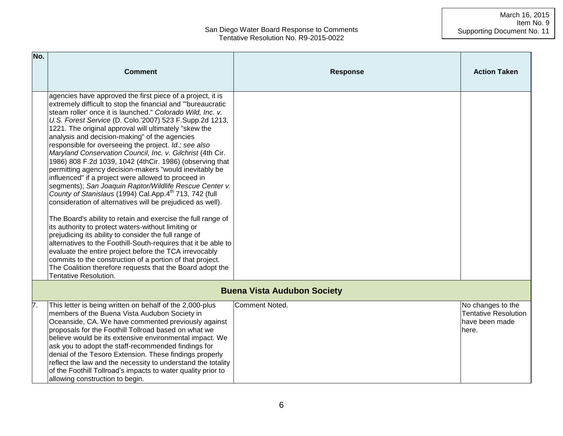#### March 16, 2015 Item No. 9 Supporting Document No. 11

| No. | <b>Comment</b>                                                                                                                                                                                                                                                                                                                                                                                                                                                                                                                                                                                                                                                                                                                                                                                                                                                                                                                                                                                                                                                                                                                                                                                                                                                                                                     | <b>Response</b>                    | <b>Action Taken</b>                                                         |
|-----|--------------------------------------------------------------------------------------------------------------------------------------------------------------------------------------------------------------------------------------------------------------------------------------------------------------------------------------------------------------------------------------------------------------------------------------------------------------------------------------------------------------------------------------------------------------------------------------------------------------------------------------------------------------------------------------------------------------------------------------------------------------------------------------------------------------------------------------------------------------------------------------------------------------------------------------------------------------------------------------------------------------------------------------------------------------------------------------------------------------------------------------------------------------------------------------------------------------------------------------------------------------------------------------------------------------------|------------------------------------|-----------------------------------------------------------------------------|
|     | agencies have approved the first piece of a project, it is<br>extremely difficult to stop the financial and "bureaucratic<br>steam roller' once it is launched." Colorado Wild, Inc. v.<br>U.S. Forest Service (D. Colo.'2007) 523 F.Supp.2d 1213,<br>1221. The original approval will ultimately "skew the<br>analysis and decision-making" of the agencies<br>responsible for overseeing the project. Id.; see also<br>Maryland Conservation Council, Inc. v. Gilchrist (4th Cir.<br>1986) 808 F.2d 1039, 1042 (4thCir. 1986) (observing that<br>permitting agency decision-makers "would inevitably be<br>influenced" if a project were allowed to proceed in<br>segments); San Joaquin Raptor/Wildlife Rescue Center v.<br>County of Stanislaus (1994) Cal.App.4th 713, 742 (full<br>consideration of alternatives will be prejudiced as well).<br>The Board's ability to retain and exercise the full range of<br>its authority to protect waters-without limiting or<br>prejudicing its ability to consider the full range of<br>alternatives to the Foothill-South-requires that it be able to<br>evaluate the entire project before the TCA irrevocably<br>commits to the construction of a portion of that project.<br>The Coalition therefore requests that the Board adopt the<br>Tentative Resolution. |                                    |                                                                             |
|     |                                                                                                                                                                                                                                                                                                                                                                                                                                                                                                                                                                                                                                                                                                                                                                                                                                                                                                                                                                                                                                                                                                                                                                                                                                                                                                                    | <b>Buena Vista Audubon Society</b> |                                                                             |
| 7.  | This letter is being written on behalf of the 2,000-plus<br>members of the Buena Vista Audubon Society in<br>Oceanside, CA. We have commented previously against<br>proposals for the Foothill Tollroad based on what we<br>believe would be its extensive environmental impact. We<br>ask you to adopt the staff-recommended findings for<br>denial of the Tesoro Extension. These findings properly<br>reflect the law and the necessity to understand the totality<br>of the Foothill Tollroad's impacts to water quality prior to<br>allowing construction to begin.                                                                                                                                                                                                                                                                                                                                                                                                                                                                                                                                                                                                                                                                                                                                           | <b>Comment Noted.</b>              | No changes to the<br><b>Tentative Resolution</b><br>have been made<br>here. |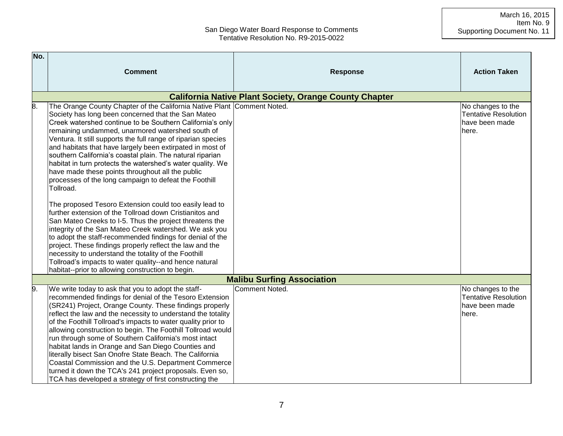| No. |                                                                                                                                                                                                                                                                                                                                                                                                                                                                                                                                                                                                                                                                                                                                                                                                                                                                                                                                                                                                                                                                                                                        |                                                               |                                                                             |
|-----|------------------------------------------------------------------------------------------------------------------------------------------------------------------------------------------------------------------------------------------------------------------------------------------------------------------------------------------------------------------------------------------------------------------------------------------------------------------------------------------------------------------------------------------------------------------------------------------------------------------------------------------------------------------------------------------------------------------------------------------------------------------------------------------------------------------------------------------------------------------------------------------------------------------------------------------------------------------------------------------------------------------------------------------------------------------------------------------------------------------------|---------------------------------------------------------------|-----------------------------------------------------------------------------|
|     | <b>Comment</b>                                                                                                                                                                                                                                                                                                                                                                                                                                                                                                                                                                                                                                                                                                                                                                                                                                                                                                                                                                                                                                                                                                         | <b>Response</b>                                               | <b>Action Taken</b>                                                         |
|     |                                                                                                                                                                                                                                                                                                                                                                                                                                                                                                                                                                                                                                                                                                                                                                                                                                                                                                                                                                                                                                                                                                                        | <b>California Native Plant Society, Orange County Chapter</b> |                                                                             |
| 8.  | The Orange County Chapter of the California Native Plant Comment Noted.<br>Society has long been concerned that the San Mateo<br>Creek watershed continue to be Southern California's only<br>remaining undammed, unarmored watershed south of<br>Ventura. It still supports the full range of riparian species<br>and habitats that have largely been extirpated in most of<br>southern California's coastal plain. The natural riparian<br>habitat in turn protects the watershed's water quality. We<br>have made these points throughout all the public<br>processes of the long campaign to defeat the Foothill<br>Tollroad.<br>The proposed Tesoro Extension could too easily lead to<br>further extension of the Tollroad down Cristianitos and<br>San Mateo Creeks to I-5. Thus the project threatens the<br>integrity of the San Mateo Creek watershed. We ask you<br>to adopt the staff-recommended findings for denial of the<br>project. These findings properly reflect the law and the<br>necessity to understand the totality of the Foothill<br>Tollroad's impacts to water quality--and hence natural |                                                               | No changes to the<br><b>Tentative Resolution</b><br>have been made<br>here. |
|     | habitat--prior to allowing construction to begin.                                                                                                                                                                                                                                                                                                                                                                                                                                                                                                                                                                                                                                                                                                                                                                                                                                                                                                                                                                                                                                                                      |                                                               |                                                                             |
|     |                                                                                                                                                                                                                                                                                                                                                                                                                                                                                                                                                                                                                                                                                                                                                                                                                                                                                                                                                                                                                                                                                                                        | <b>Malibu Surfing Association</b>                             |                                                                             |
| 9.  | We write today to ask that you to adopt the staff-<br>recommended findings for denial of the Tesoro Extension<br>(SR241) Project, Orange County. These findings properly<br>reflect the law and the necessity to understand the totality<br>of the Foothill Tollroad's impacts to water quality prior to<br>allowing construction to begin. The Foothill Tollroad would<br>run through some of Southern California's most intact<br>habitat lands in Orange and San Diego Counties and<br>literally bisect San Onofre State Beach. The California<br>Coastal Commission and the U.S. Department Commerce<br>turned it down the TCA's 241 project proposals. Even so,<br>TCA has developed a strategy of first constructing the                                                                                                                                                                                                                                                                                                                                                                                         | Comment Noted.                                                | No changes to the<br><b>Tentative Resolution</b><br>have been made<br>here. |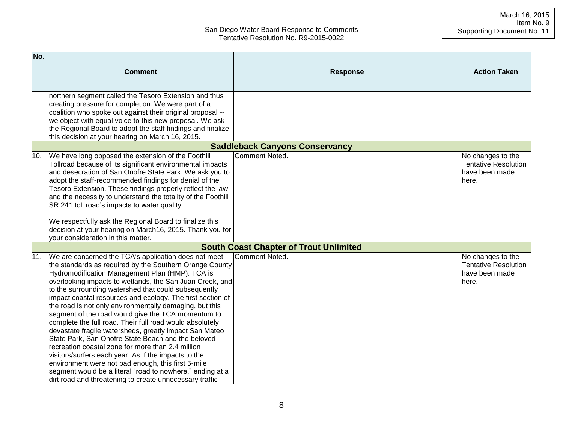| No. |                                                                                                                                                                                                                                                                                                                                                                                                                                                                                                                                                                                                                                                                                                                                                                                                                                                                                                                                              |                                               |                                                                             |
|-----|----------------------------------------------------------------------------------------------------------------------------------------------------------------------------------------------------------------------------------------------------------------------------------------------------------------------------------------------------------------------------------------------------------------------------------------------------------------------------------------------------------------------------------------------------------------------------------------------------------------------------------------------------------------------------------------------------------------------------------------------------------------------------------------------------------------------------------------------------------------------------------------------------------------------------------------------|-----------------------------------------------|-----------------------------------------------------------------------------|
|     | <b>Comment</b>                                                                                                                                                                                                                                                                                                                                                                                                                                                                                                                                                                                                                                                                                                                                                                                                                                                                                                                               | <b>Response</b>                               | <b>Action Taken</b>                                                         |
|     | northern segment called the Tesoro Extension and thus<br>creating pressure for completion. We were part of a<br>coalition who spoke out against their original proposal --<br>we object with equal voice to this new proposal. We ask<br>the Regional Board to adopt the staff findings and finalize<br>this decision at your hearing on March 16, 2015.                                                                                                                                                                                                                                                                                                                                                                                                                                                                                                                                                                                     |                                               |                                                                             |
|     |                                                                                                                                                                                                                                                                                                                                                                                                                                                                                                                                                                                                                                                                                                                                                                                                                                                                                                                                              | <b>Saddleback Canyons Conservancy</b>         |                                                                             |
| 10. | We have long opposed the extension of the Foothill<br>Tollroad because of its significant environmental impacts<br>and desecration of San Onofre State Park. We ask you to<br>adopt the staff-recommended findings for denial of the<br>Tesoro Extension. These findings properly reflect the law<br>and the necessity to understand the totality of the Foothill<br>SR 241 toll road's impacts to water quality.                                                                                                                                                                                                                                                                                                                                                                                                                                                                                                                            | Comment Noted.                                | No changes to the<br><b>Tentative Resolution</b><br>have been made<br>here. |
|     | We respectfully ask the Regional Board to finalize this<br>decision at your hearing on March16, 2015. Thank you for<br>your consideration in this matter.                                                                                                                                                                                                                                                                                                                                                                                                                                                                                                                                                                                                                                                                                                                                                                                    |                                               |                                                                             |
|     |                                                                                                                                                                                                                                                                                                                                                                                                                                                                                                                                                                                                                                                                                                                                                                                                                                                                                                                                              | <b>South Coast Chapter of Trout Unlimited</b> |                                                                             |
| 11. | We are concerned the TCA's application does not meet<br>the standards as required by the Southern Orange County<br>Hydromodification Management Plan (HMP). TCA is<br>overlooking impacts to wetlands, the San Juan Creek, and<br>to the surrounding watershed that could subsequently<br>impact coastal resources and ecology. The first section of<br>the road is not only environmentally damaging, but this<br>segment of the road would give the TCA momentum to<br>complete the full road. Their full road would absolutely<br>devastate fragile watersheds, greatly impact San Mateo<br>State Park, San Onofre State Beach and the beloved<br>recreation coastal zone for more than 2.4 million<br>visitors/surfers each year. As if the impacts to the<br>environment were not bad enough, this first 5-mile<br>segment would be a literal "road to nowhere," ending at a<br>dirt road and threatening to create unnecessary traffic | Comment Noted.                                | No changes to the<br><b>Tentative Resolution</b><br>have been made<br>here. |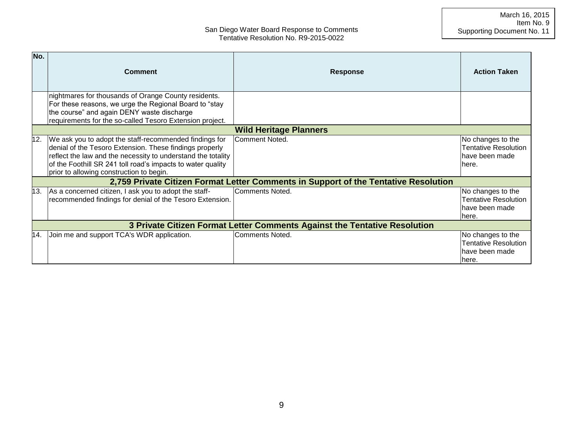| No. | <b>Comment</b>                                                                                                                                                                                                                                                                               | <b>Response</b>                                                                     | <b>Action Taken</b>                                                           |  |
|-----|----------------------------------------------------------------------------------------------------------------------------------------------------------------------------------------------------------------------------------------------------------------------------------------------|-------------------------------------------------------------------------------------|-------------------------------------------------------------------------------|--|
|     | nightmares for thousands of Orange County residents.<br>For these reasons, we urge the Regional Board to "stay<br>the course" and again DENY waste discharge<br>requirements for the so-called Tesoro Extension project.                                                                     |                                                                                     |                                                                               |  |
|     |                                                                                                                                                                                                                                                                                              | <b>Wild Heritage Planners</b>                                                       |                                                                               |  |
| 12. | We ask you to adopt the staff-recommended findings for<br>denial of the Tesoro Extension. These findings properly<br>reflect the law and the necessity to understand the totality<br>of the Foothill SR 241 toll road's impacts to water quality<br>prior to allowing construction to begin. | Comment Noted.                                                                      | No changes to the<br><b>Tentative Resolution</b><br>have been made<br>lhere.  |  |
|     |                                                                                                                                                                                                                                                                                              | 2,759 Private Citizen Format Letter Comments in Support of the Tentative Resolution |                                                                               |  |
| 13. | As a concerned citizen, I ask you to adopt the staff-<br>recommended findings for denial of the Tesoro Extension.                                                                                                                                                                            | Comments Noted.                                                                     | No changes to the<br><b>Tentative Resolution</b><br>lhave been made<br>lhere. |  |
|     | 3 Private Citizen Format Letter Comments Against the Tentative Resolution                                                                                                                                                                                                                    |                                                                                     |                                                                               |  |
| 14. | Join me and support TCA's WDR application.                                                                                                                                                                                                                                                   | Comments Noted.                                                                     | No changes to the<br><b>Tentative Resolution</b><br>lhave been made<br>lhere. |  |